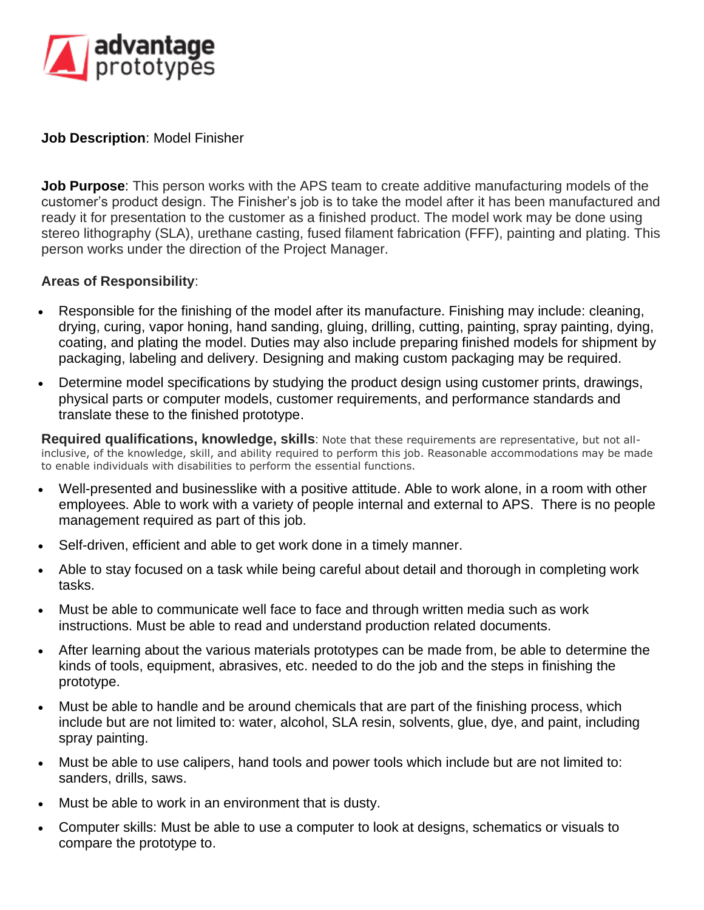

## **Job Description**: Model Finisher

**Job Purpose**: This person works with the APS team to create additive manufacturing models of the customer's product design. The Finisher's job is to take the model after it has been manufactured and ready it for presentation to the customer as a finished product. The model work may be done using stereo lithography (SLA), urethane casting, fused filament fabrication (FFF), painting and plating. This person works under the direction of the Project Manager.

## **Areas of Responsibility**:

- Responsible for the finishing of the model after its manufacture. Finishing may include: cleaning, drying, curing, vapor honing, hand sanding, gluing, drilling, cutting, painting, spray painting, dying, coating, and plating the model. Duties may also include preparing finished models for shipment by packaging, labeling and delivery. Designing and making custom packaging may be required.
- Determine model specifications by studying the product design using customer prints, drawings, physical parts or computer models, customer requirements, and performance standards and translate these to the finished prototype.

**Required qualifications, knowledge, skills**: Note that these requirements are representative, but not allinclusive, of the knowledge, skill, and ability required to perform this job. Reasonable accommodations may be made to enable individuals with disabilities to perform the essential functions.

- Well-presented and businesslike with a positive attitude. Able to work alone, in a room with other employees. Able to work with a variety of people internal and external to APS. There is no people management required as part of this job.
- Self-driven, efficient and able to get work done in a timely manner.
- Able to stay focused on a task while being careful about detail and thorough in completing work tasks.
- Must be able to communicate well face to face and through written media such as work instructions. Must be able to read and understand production related documents.
- After learning about the various materials prototypes can be made from, be able to determine the kinds of tools, equipment, abrasives, etc. needed to do the job and the steps in finishing the prototype.
- Must be able to handle and be around chemicals that are part of the finishing process, which include but are not limited to: water, alcohol, SLA resin, solvents, glue, dye, and paint, including spray painting.
- Must be able to use calipers, hand tools and power tools which include but are not limited to: sanders, drills, saws.
- Must be able to work in an environment that is dusty.
- Computer skills: Must be able to use a computer to look at designs, schematics or visuals to compare the prototype to.